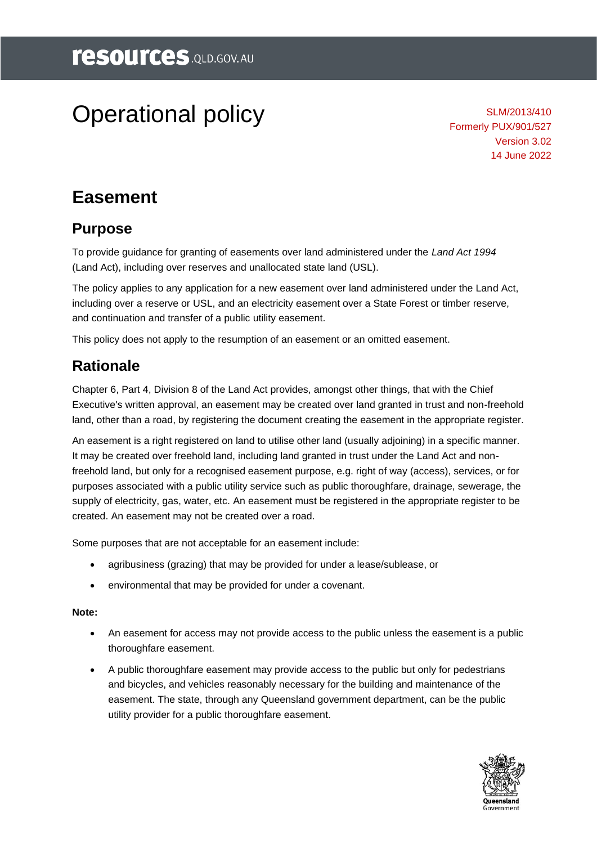# Operational policy

SLM/2013/410 Formerly PUX/901/527 Version 3.02 14 June 2022

# **Easement**

# **Purpose**

To provide guidance for granting of easements over land administered under the *Land Act 1994* (Land Act), including over reserves and unallocated state land (USL).

The policy applies to any application for a new easement over land administered under the Land Act, including over a reserve or USL, and an electricity easement over a State Forest or timber reserve, and continuation and transfer of a public utility easement.

This policy does not apply to the resumption of an easement or an omitted easement.

# **Rationale**

Chapter 6, Part 4, Division 8 of the Land Act provides, amongst other things, that with the Chief Executive's written approval, an easement may be created over land granted in trust and non-freehold land, other than a road, by registering the document creating the easement in the appropriate register.

An easement is a right registered on land to utilise other land (usually adjoining) in a specific manner. It may be created over freehold land, including land granted in trust under the Land Act and nonfreehold land, but only for a recognised easement purpose, e.g. right of way (access), services, or for purposes associated with a public utility service such as public thoroughfare, drainage, sewerage, the supply of electricity, gas, water, etc. An easement must be registered in the appropriate register to be created. An easement may not be created over a road.

Some purposes that are not acceptable for an easement include:

- agribusiness (grazing) that may be provided for under a lease/sublease, or
- environmental that may be provided for under a covenant.

#### **Note:**

- An easement for access may not provide access to the public unless the easement is a public thoroughfare easement.
- A public thoroughfare easement may provide access to the public but only for pedestrians and bicycles, and vehicles reasonably necessary for the building and maintenance of the easement. The state, through any Queensland government department, can be the public utility provider for a public thoroughfare easement.

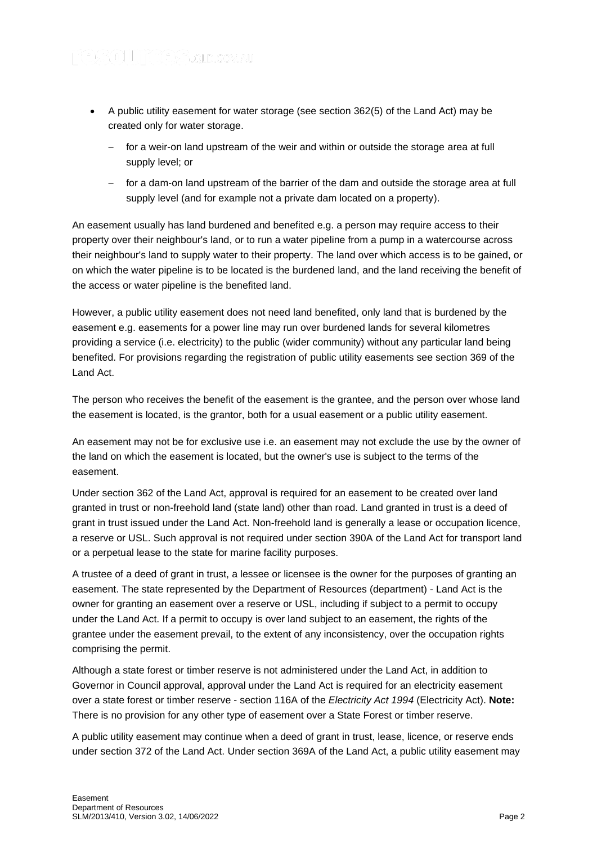- A public utility easement for water storage (see section 362(5) of the Land Act) may be created only for water storage.
	- for a weir-on land upstream of the weir and within or outside the storage area at full supply level; or
	- − for a dam-on land upstream of the barrier of the dam and outside the storage area at full supply level (and for example not a private dam located on a property).

An easement usually has land burdened and benefited e.g. a person may require access to their property over their neighbour's land, or to run a water pipeline from a pump in a watercourse across their neighbour's land to supply water to their property. The land over which access is to be gained, or on which the water pipeline is to be located is the burdened land, and the land receiving the benefit of the access or water pipeline is the benefited land.

However, a public utility easement does not need land benefited, only land that is burdened by the easement e.g. easements for a power line may run over burdened lands for several kilometres providing a service (i.e. electricity) to the public (wider community) without any particular land being benefited. For provisions regarding the registration of public utility easements see section 369 of the Land Act.

The person who receives the benefit of the easement is the grantee, and the person over whose land the easement is located, is the grantor, both for a usual easement or a public utility easement.

An easement may not be for exclusive use i.e. an easement may not exclude the use by the owner of the land on which the easement is located, but the owner's use is subject to the terms of the easement.

Under section 362 of the Land Act, approval is required for an easement to be created over land granted in trust or non-freehold land (state land) other than road. Land granted in trust is a deed of grant in trust issued under the Land Act. Non-freehold land is generally a lease or occupation licence, a reserve or USL. Such approval is not required under section 390A of the Land Act for transport land or a perpetual lease to the state for marine facility purposes.

A trustee of a deed of grant in trust, a lessee or licensee is the owner for the purposes of granting an easement. The state represented by the Department of Resources (department) - Land Act is the owner for granting an easement over a reserve or USL, including if subject to a permit to occupy under the Land Act. If a permit to occupy is over land subject to an easement, the rights of the grantee under the easement prevail, to the extent of any inconsistency, over the occupation rights comprising the permit.

Although a state forest or timber reserve is not administered under the Land Act, in addition to Governor in Council approval, approval under the Land Act is required for an electricity easement over a state forest or timber reserve - section 116A of the *Electricity Act 1994* (Electricity Act). **Note:** There is no provision for any other type of easement over a State Forest or timber reserve.

A public utility easement may continue when a deed of grant in trust, lease, licence, or reserve ends under section 372 of the Land Act. Under section 369A of the Land Act, a public utility easement may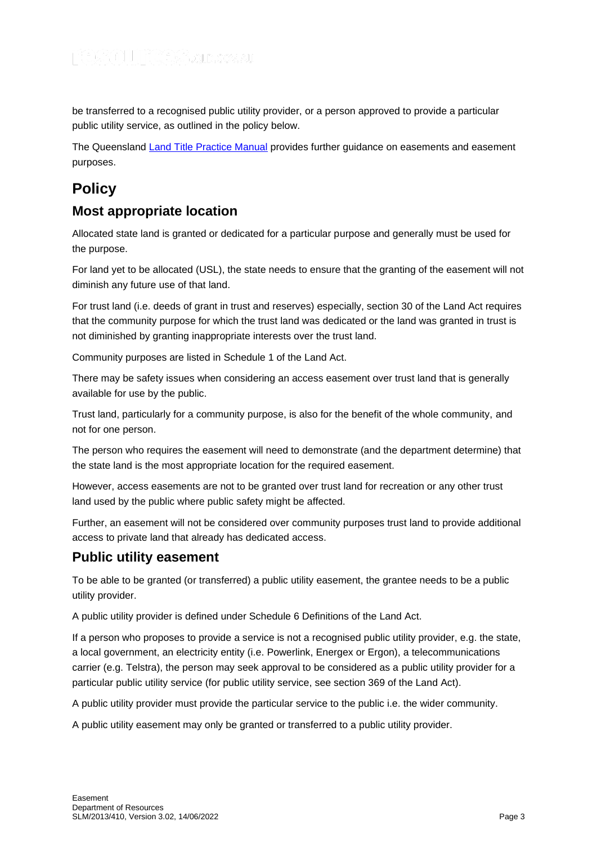be transferred to a recognised public utility provider, or a person approved to provide a particular public utility service, as outlined in the policy below.

The Queensland [Land Title Practice Manual](https://www.titlesqld.com.au/manual-guides/land-title-practice-manual/) provides further guidance on easements and easement purposes.

# **Policy**

## **Most appropriate location**

Allocated state land is granted or dedicated for a particular purpose and generally must be used for the purpose.

For land yet to be allocated (USL), the state needs to ensure that the granting of the easement will not diminish any future use of that land.

For trust land (i.e. deeds of grant in trust and reserves) especially, section 30 of the Land Act requires that the community purpose for which the trust land was dedicated or the land was granted in trust is not diminished by granting inappropriate interests over the trust land.

Community purposes are listed in Schedule 1 of the Land Act.

There may be safety issues when considering an access easement over trust land that is generally available for use by the public.

Trust land, particularly for a community purpose, is also for the benefit of the whole community, and not for one person.

The person who requires the easement will need to demonstrate (and the department determine) that the state land is the most appropriate location for the required easement.

However, access easements are not to be granted over trust land for recreation or any other trust land used by the public where public safety might be affected.

Further, an easement will not be considered over community purposes trust land to provide additional access to private land that already has dedicated access.

# **Public utility easement**

To be able to be granted (or transferred) a public utility easement, the grantee needs to be a public utility provider.

A public utility provider is defined under Schedule 6 Definitions of the Land Act.

If a person who proposes to provide a service is not a recognised public utility provider, e.g. the state, a local government, an electricity entity (i.e. Powerlink, Energex or Ergon), a telecommunications carrier (e.g. Telstra), the person may seek approval to be considered as a public utility provider for a particular public utility service (for public utility service, see section 369 of the Land Act).

A public utility provider must provide the particular service to the public i.e. the wider community.

A public utility easement may only be granted or transferred to a public utility provider.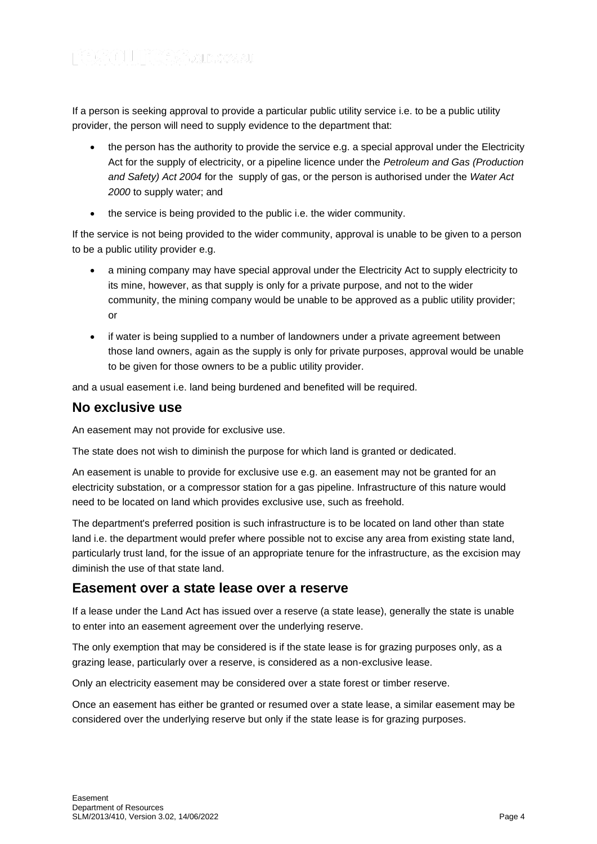If a person is seeking approval to provide a particular public utility service i.e. to be a public utility provider, the person will need to supply evidence to the department that:

- the person has the authority to provide the service e.g. a special approval under the Electricity Act for the supply of electricity, or a pipeline licence under the *Petroleum and Gas (Production and Safety) Act 2004* for the supply of gas, or the person is authorised under the *Water Act 2000* to supply water; and
- the service is being provided to the public i.e. the wider community.

If the service is not being provided to the wider community, approval is unable to be given to a person to be a public utility provider e.g.

- a mining company may have special approval under the Electricity Act to supply electricity to its mine, however, as that supply is only for a private purpose, and not to the wider community, the mining company would be unable to be approved as a public utility provider; or
- if water is being supplied to a number of landowners under a private agreement between those land owners, again as the supply is only for private purposes, approval would be unable to be given for those owners to be a public utility provider.

and a usual easement i.e. land being burdened and benefited will be required.

### **No exclusive use**

An easement may not provide for exclusive use.

The state does not wish to diminish the purpose for which land is granted or dedicated.

An easement is unable to provide for exclusive use e.g. an easement may not be granted for an electricity substation, or a compressor station for a gas pipeline. Infrastructure of this nature would need to be located on land which provides exclusive use, such as freehold.

The department's preferred position is such infrastructure is to be located on land other than state land i.e. the department would prefer where possible not to excise any area from existing state land, particularly trust land, for the issue of an appropriate tenure for the infrastructure, as the excision may diminish the use of that state land.

#### **Easement over a state lease over a reserve**

If a lease under the Land Act has issued over a reserve (a state lease), generally the state is unable to enter into an easement agreement over the underlying reserve.

The only exemption that may be considered is if the state lease is for grazing purposes only, as a grazing lease, particularly over a reserve, is considered as a non-exclusive lease.

Only an electricity easement may be considered over a state forest or timber reserve.

Once an easement has either be granted or resumed over a state lease, a similar easement may be considered over the underlying reserve but only if the state lease is for grazing purposes.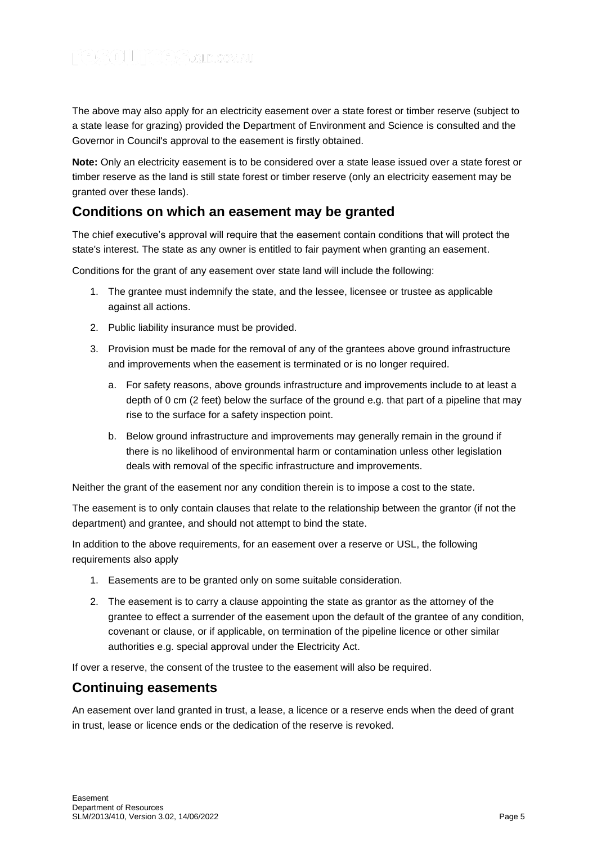The above may also apply for an electricity easement over a state forest or timber reserve (subject to a state lease for grazing) provided the Department of Environment and Science is consulted and the Governor in Council's approval to the easement is firstly obtained.

**Note:** Only an electricity easement is to be considered over a state lease issued over a state forest or timber reserve as the land is still state forest or timber reserve (only an electricity easement may be granted over these lands).

### **Conditions on which an easement may be granted**

The chief executive's approval will require that the easement contain conditions that will protect the state's interest. The state as any owner is entitled to fair payment when granting an easement.

Conditions for the grant of any easement over state land will include the following:

- 1. The grantee must indemnify the state, and the lessee, licensee or trustee as applicable against all actions.
- 2. Public liability insurance must be provided.
- 3. Provision must be made for the removal of any of the grantees above ground infrastructure and improvements when the easement is terminated or is no longer required.
	- a. For safety reasons, above grounds infrastructure and improvements include to at least a depth of 0 cm (2 feet) below the surface of the ground e.g. that part of a pipeline that may rise to the surface for a safety inspection point.
	- b. Below ground infrastructure and improvements may generally remain in the ground if there is no likelihood of environmental harm or contamination unless other legislation deals with removal of the specific infrastructure and improvements.

Neither the grant of the easement nor any condition therein is to impose a cost to the state.

The easement is to only contain clauses that relate to the relationship between the grantor (if not the department) and grantee, and should not attempt to bind the state.

In addition to the above requirements, for an easement over a reserve or USL, the following requirements also apply

- 1. Easements are to be granted only on some suitable consideration.
- 2. The easement is to carry a clause appointing the state as grantor as the attorney of the grantee to effect a surrender of the easement upon the default of the grantee of any condition, covenant or clause, or if applicable, on termination of the pipeline licence or other similar authorities e.g. special approval under the Electricity Act.

If over a reserve, the consent of the trustee to the easement will also be required.

#### **Continuing easements**

An easement over land granted in trust, a lease, a licence or a reserve ends when the deed of grant in trust, lease or licence ends or the dedication of the reserve is revoked.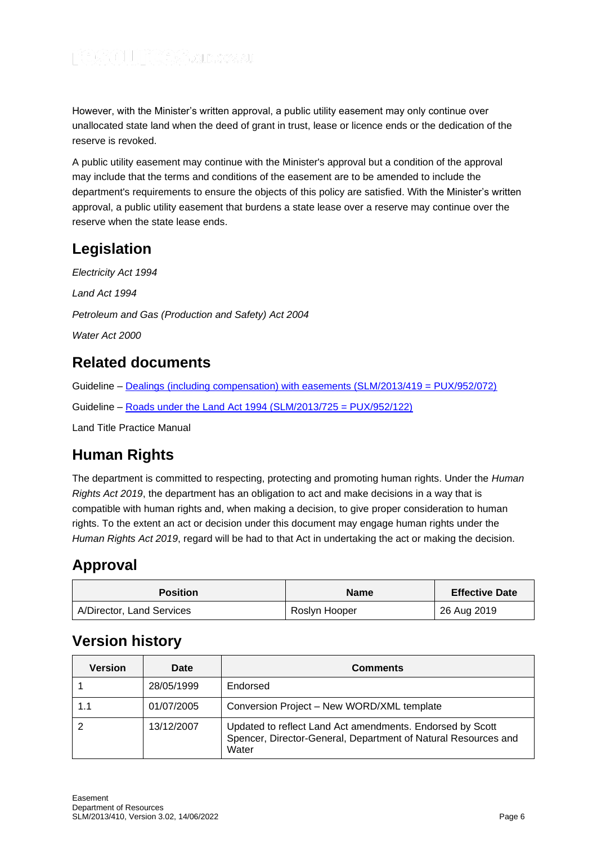However, with the Minister's written approval, a public utility easement may only continue over unallocated state land when the deed of grant in trust, lease or licence ends or the dedication of the reserve is revoked.

A public utility easement may continue with the Minister's approval but a condition of the approval may include that the terms and conditions of the easement are to be amended to include the department's requirements to ensure the objects of this policy are satisfied. With the Minister's written approval, a public utility easement that burdens a state lease over a reserve may continue over the reserve when the state lease ends.

# **Legislation**

*Electricity Act 1994 Land Act 1994 Petroleum and Gas (Production and Safety) Act 2004 Water Act 2000*

# **Related documents**

Guideline – [Dealings \(including compensation\) with easements \(SLM/2013/419 = PUX/952/072\)](https://www.resources.qld.gov.au/?a=109113:policy_registry/dealings-compensation-easements.pdf&ver=7.00)

Guideline – [Roads under the Land Act 1994 \(SLM/2013/725 = PUX/952/122\)](https://www.resources.qld.gov.au/?a=109113:policy_registry/roads-under-land-act.pdf&ver=5.00)

Land Title Practice Manual

# **Human Rights**

The department is committed to respecting, protecting and promoting human rights. Under the *Human Rights Act 2019*, the department has an obligation to act and make decisions in a way that is compatible with human rights and, when making a decision, to give proper consideration to human rights. To the extent an act or decision under this document may engage human rights under the *Human Rights Act 2019*, regard will be had to that Act in undertaking the act or making the decision.

# **Approval**

| <b>Position</b>           | <b>Name</b>   | <b>Effective Date</b> |
|---------------------------|---------------|-----------------------|
| A/Director, Land Services | Roslyn Hooper | 26 Aug 2019           |

# **Version history**

| Version | <b>Date</b> | <b>Comments</b>                                                                                                                      |
|---------|-------------|--------------------------------------------------------------------------------------------------------------------------------------|
|         | 28/05/1999  | Endorsed                                                                                                                             |
| 1.1     | 01/07/2005  | Conversion Project - New WORD/XML template                                                                                           |
|         | 13/12/2007  | Updated to reflect Land Act amendments. Endorsed by Scott<br>Spencer, Director-General, Department of Natural Resources and<br>Water |